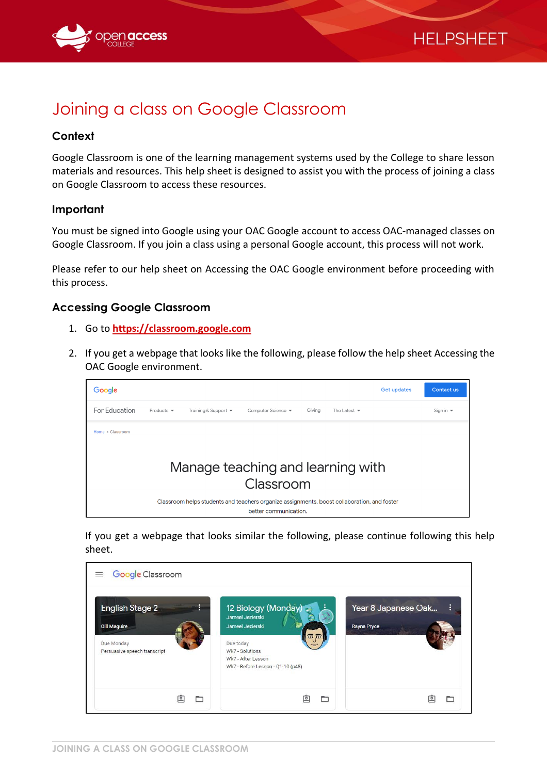



# Joining a class on Google Classroom

### **Context**

Google Classroom is one of the learning management systems used by the College to share lesson materials and resources. This help sheet is designed to assist you with the process of joining a class on Google Classroom to access these resources.

### **Important**

You must be signed into Google using your OAC Google account to access OAC-managed classes on Google Classroom. If you join a class using a personal Google account, this process will not work.

Please refer to our help sheet on Accessing the OAC Google environment before proceeding with this process.

### **Accessing Google Classroom**

- 1. Go to **[https://classroom.google.com](https://classroom.google.com/)**
- 2. If you get a webpage that looks like the following, please follow the help sheet Accessing the OAC Google environment.



If you get a webpage that looks similar the following, please continue following this help sheet.

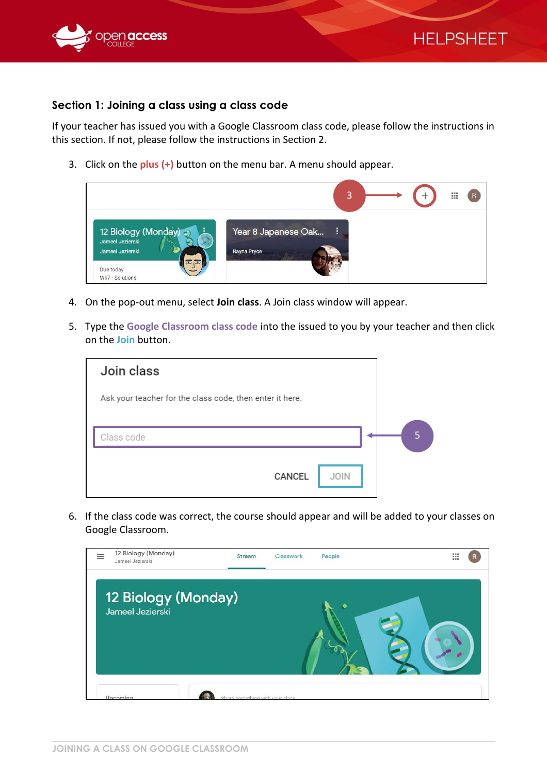

## **HELPSHEET**

### **Section 1: Joining a class using a class code**

If your teacher has issued you with a Google Classroom class code, please follow the instructions in this section. If not, please follow the instructions in Section 2.

3. Click on the **plus (+)** button on the menu bar. A menu should appear.



- 4. On the pop-out menu, select **Join class**. A Join class window will appear.
- 5. Type the **Google Classroom class code** into the issued to you by your teacher and then click on the **Join** button.

| Join class                                               |        |             |  |
|----------------------------------------------------------|--------|-------------|--|
| Ask your teacher for the class code, then enter it here. |        |             |  |
|                                                          |        |             |  |
| Class code                                               |        |             |  |
|                                                          |        |             |  |
|                                                          | CANCEL | <b>JOIN</b> |  |

6. If the class code was correct, the course should appear and will be added to your classes on Google Classroom.